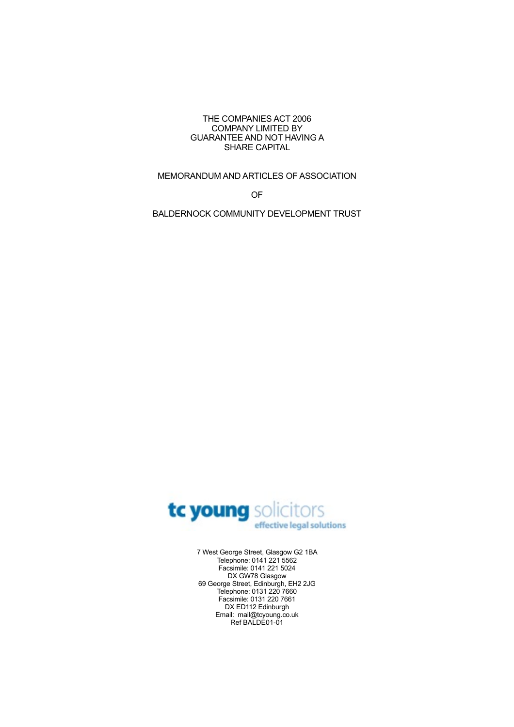#### THE COMPANIES ACT 2006 COMPANY LIMITED BY GUARANTEE AND NOT HAVING A SHARE CAPITAL

# MEMORANDUM AND ARTICLES OF ASSOCIATION

OF

BALDERNOCK COMMUNITY DEVELOPMENT TRUST



7 West George Street, Glasgow G2 1BA Telephone: 0141 221 5562 Facsimile: 0141 221 5024 DX GW78 Glasgow 69 George Street, Edinburgh, EH2 2JG Telephone: 0131 220 7660 Facsimile: 0131 220 7661 DX ED112 Edinburgh Email: mail@tcyoung.co.uk Ref BALDE01-01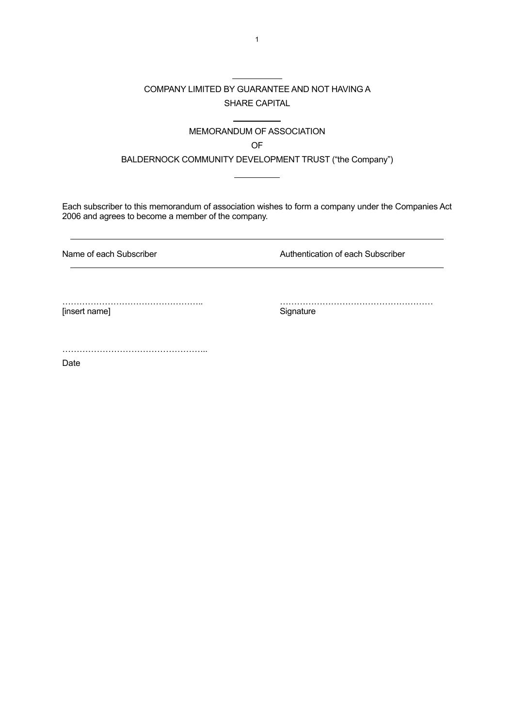# COMPANY LIMITED BY GUARANTEE AND NOT HAVING A SHARE CAPITAL

 $\overline{a}$ 

 $\overline{a}$ 

 $\overline{a}$ 

# MEMORANDUM OF ASSOCIATION

**OF** *Contract of Contract of Contract of Contract of Contract of Contract of Contract of Contract of Contract of Contract of Contract of Contract of Contract of Contract of Contract of Contract of Contract of Contract of* 

BALDERNOCK COMMUNITY DEVELOPMENT TRUST ("the Company")

Each subscriber to this memorandum of association wishes to form a company under the Companies Act 2006 and agrees to become a member of the company.

Name of each Subscriber **Authentication of each Subscriber** Authentication of each Subscriber

[insert name]

………………………………………….. ………………………………………………

…………………………………………...

Date

 $\overline{a}$ 

 $\overline{a}$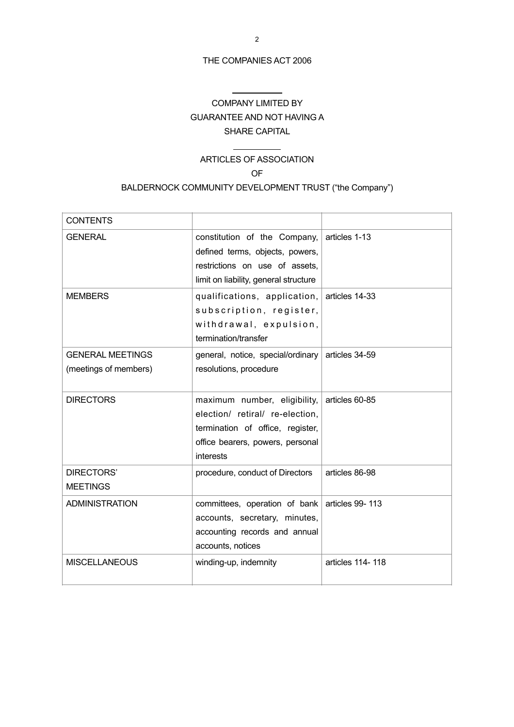## THE COMPANIES ACT 2006

 $\overline{a}$ 

 $\overline{a}$ 

# COMPANY LIMITED BY GUARANTEE AND NOT HAVING A SHARE CAPITAL

# ARTICLES OF ASSOCIATION

#### **OF OP**

# BALDERNOCK COMMUNITY DEVELOPMENT TRUST ("the Company")

| <b>CONTENTS</b>                                  |                                                                                                                                                      |                  |
|--------------------------------------------------|------------------------------------------------------------------------------------------------------------------------------------------------------|------------------|
| <b>GENERAL</b>                                   | constitution of the Company,<br>defined terms, objects, powers,<br>restrictions on use of assets,<br>limit on liability, general structure           | articles 1-13    |
| <b>MEMBERS</b>                                   | qualifications, application, articles 14-33<br>subscription, register,<br>withdrawal, expulsion,<br>termination/transfer                             |                  |
| <b>GENERAL MEETINGS</b><br>(meetings of members) | general, notice, special/ordinary<br>resolutions, procedure                                                                                          | articles 34-59   |
| <b>DIRECTORS</b>                                 | maximum number, eligibility,<br>election/ retiral/ re-election,<br>termination of office, register,<br>office bearers, powers, personal<br>interests | articles 60-85   |
| DIRECTORS'<br><b>MEETINGS</b>                    | procedure, conduct of Directors                                                                                                                      | articles 86-98   |
| <b>ADMINISTRATION</b>                            | committees, operation of bank<br>accounts, secretary, minutes,<br>accounting records and annual<br>accounts, notices                                 | articles 99-113  |
| <b>MISCELLANEOUS</b>                             | winding-up, indemnity                                                                                                                                | articles 114-118 |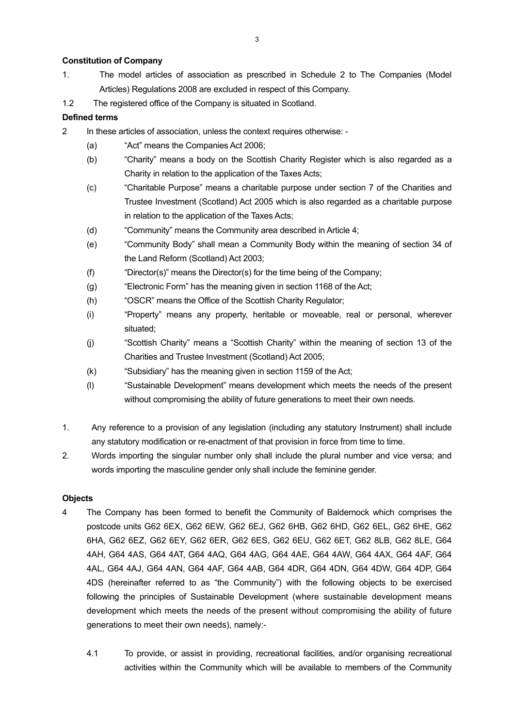# **Constitution of Company**

- 1. The model articles of association as prescribed in Schedule 2 to The Companies (Model Articles) Regulations 2008 are excluded in respect of this Company.
- 1.2 The registered office of the Company is situated in Scotland.

# **Defined terms**

- 2 In these articles of association, unless the context requires otherwise:
	- (a) "Act" means the Companies Act 2006;
	- (b) "Charity" means a body on the Scottish Charity Register which is also regarded as a Charity in relation to the application of the Taxes Acts;
	- (c) "Charitable Purpose" means a charitable purpose under section 7 of the Charities and Trustee Investment (Scotland) Act 2005 which is also regarded as a charitable purpose in relation to the application of the Taxes Acts;
	- (d) "Community" means the Community area described in Article 4;
	- (e) "Community Body" shall mean a Community Body within the meaning of section 34 of the Land Reform (Scotland) Act 2003;
	- (f) "Director(s)" means the Director(s) for the time being of the Company;
	- (g) "Electronic Form" has the meaning given in section 1168 of the Act;
	- (h) "OSCR" means the Office of the Scottish Charity Regulator;
	- (i) "Property" means any property, heritable or moveable, real or personal, wherever situated;
	- (j) "Scottish Charity" means a "Scottish Charity" within the meaning of section 13 of the Charities and Trustee Investment (Scotland) Act 2005;
	- (k) "Subsidiary" has the meaning given in section 1159 of the Act;
	- (l) "Sustainable Development" means development which meets the needs of the present without compromising the ability of future generations to meet their own needs.
- 1. Any reference to a provision of any legislation (including any statutory Instrument) shall include any statutory modification or re-enactment of that provision in force from time to time.
- 2. Words importing the singular number only shall include the plural number and vice versa; and words importing the masculine gender only shall include the feminine gender.

# **Objects**

- 4 The Company has been formed to benefit the Community of Baldernock which comprises the postcode units G62 6EX, G62 6EW, G62 6EJ, G62 6HB, G62 6HD, G62 6EL, G62 6HE, G62 6HA, G62 6EZ, G62 6EY, G62 6ER, G62 6ES, G62 6EU, G62 6ET, G62 8LB, G62 8LE, G64 4AH, G64 4AS, G64 4AT, G64 4AQ, G64 4AG, G64 4AE, G64 4AW, G64 4AX, G64 4AF, G64 4AL, G64 4AJ, G64 4AN, G64 4AF, G64 4AB, G64 4DR, G64 4DN, G64 4DW, G64 4DP, G64 4DS (hereinafter referred to as "the Community") with the following objects to be exercised following the principles of Sustainable Development (where sustainable development means development which meets the needs of the present without compromising the ability of future generations to meet their own needs), namely:-
	- 4.1 To provide, or assist in providing, recreational facilities, and/or organising recreational activities within the Community which will be available to members of the Community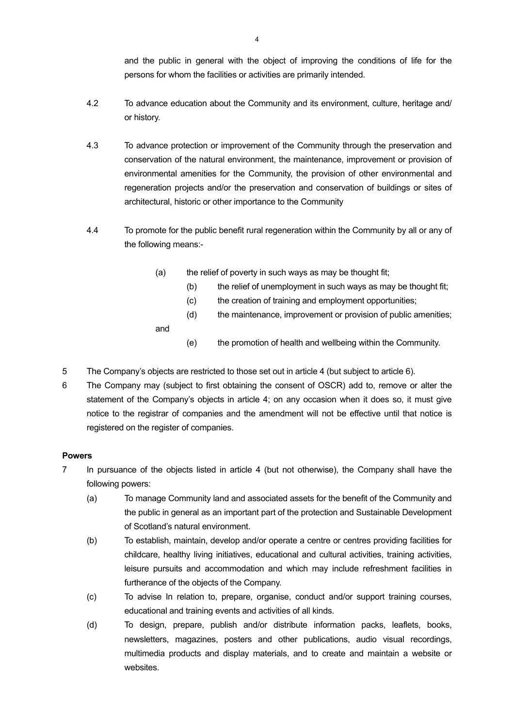and the public in general with the object of improving the conditions of life for the persons for whom the facilities or activities are primarily intended.

- 4.2 To advance education about the Community and its environment, culture, heritage and/ or history.
- 4.3 To advance protection or improvement of the Community through the preservation and conservation of the natural environment, the maintenance, improvement or provision of environmental amenities for the Community, the provision of other environmental and regeneration projects and/or the preservation and conservation of buildings or sites of architectural, historic or other importance to the Community
- 4.4 To promote for the public benefit rural regeneration within the Community by all or any of the following means:-
	- (a) the relief of poverty in such ways as may be thought fit;
		- (b) the relief of unemployment in such ways as may be thought fit;
		- (c) the creation of training and employment opportunities;
		- (d) the maintenance, improvement or provision of public amenities;

and

- (e) the promotion of health and wellbeing within the Community.
- 5 The Company's objects are restricted to those set out in article 4 (but subject to article 6).
- 6 The Company may (subject to first obtaining the consent of OSCR) add to, remove or alter the statement of the Company's objects in article 4; on any occasion when it does so, it must give notice to the registrar of companies and the amendment will not be effective until that notice is registered on the register of companies.

# **Powers**

- 7 In pursuance of the objects listed in article 4 (but not otherwise), the Company shall have the following powers:
	- (a) To manage Community land and associated assets for the benefit of the Community and the public in general as an important part of the protection and Sustainable Development of Scotland's natural environment.
	- (b) To establish, maintain, develop and/or operate a centre or centres providing facilities for childcare, healthy living initiatives, educational and cultural activities, training activities, leisure pursuits and accommodation and which may include refreshment facilities in furtherance of the objects of the Company.
	- (c) To advise In relation to, prepare, organise, conduct and/or support training courses, educational and training events and activities of all kinds.
	- (d) To design, prepare, publish and/or distribute information packs, leaflets, books, newsletters, magazines, posters and other publications, audio visual recordings, multimedia products and display materials, and to create and maintain a website or websites.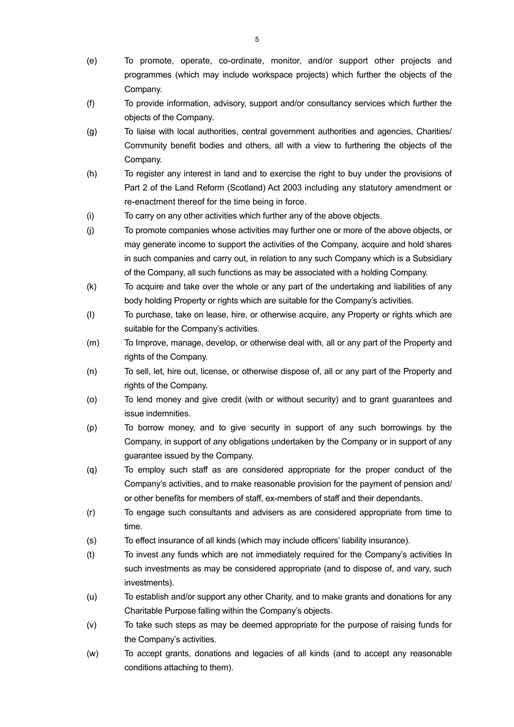- (e) To promote, operate, co-ordinate, monitor, and/or support other projects and programmes (which may include workspace projects) which further the objects of the Company.
- (f) To provide information, advisory, support and/or consultancy services which further the objects of the Company.
- (g) To liaise with local authorities, central government authorities and agencies, Charities/ Community benefit bodies and others, all with a view to furthering the objects of the Company.
- (h) To register any interest in land and to exercise the right to buy under the provisions of Part 2 of the Land Reform (Scotland) Act 2003 including any statutory amendment or re-enactment thereof for the time being in force.
- (i) To carry on any other activities which further any of the above objects.
- (j) To promote companies whose activities may further one or more of the above objects, or may generate income to support the activities of the Company, acquire and hold shares in such companies and carry out, in relation to any such Company which is a Subsidiary of the Company, all such functions as may be associated with a holding Company.
- (k) To acquire and take over the whole or any part of the undertaking and liabilities of any body holding Property or rights which are suitable for the Company's activities.
- (I) To purchase, take on lease, hire, or otherwise acquire, any Property or rights which are suitable for the Company's activities.
- (m) To Improve, manage, develop, or otherwise deal with, all or any part of the Property and rights of the Company.
- (n) To sell, let, hire out, license, or otherwise dispose of, all or any part of the Property and rights of the Company.
- (o) To lend money and give credit (with or without security) and to grant guarantees and issue indemnities.
- (p) To borrow money, and to give security in support of any such borrowings by the Company, in support of any obligations undertaken by the Company or in support of any guarantee issued by the Company.
- (q) To employ such staff as are considered appropriate for the proper conduct of the Company's activities, and to make reasonable provision for the payment of pension and/ or other benefits for members of staff, ex-members of staff and their dependants.
- (r) To engage such consultants and advisers as are considered appropriate from time to time.
- (s) To effect insurance of all kinds (which may include officers' liability insurance).
- (t) To invest any funds which are not immediately required for the Company's activities In such investments as may be considered appropriate (and to dispose of, and vary, such investments).
- (u) To establish and/or support any other Charity, and to make grants and donations for any Charitable Purpose falling within the Company's objects.
- (v) To take such steps as may be deemed appropriate for the purpose of raising funds for the Company's activities.
- (w) To accept grants, donations and legacies of all kinds (and to accept any reasonable conditions attaching to them).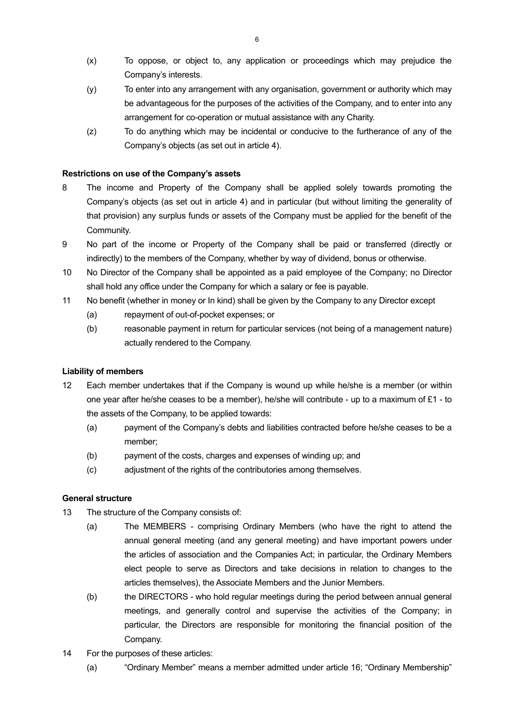- (x) To oppose, or object to, any application or proceedings which may prejudice the Company's interests.
- (y) To enter into any arrangement with any organisation, government or authority which may be advantageous for the purposes of the activities of the Company, and to enter into any arrangement for co-operation or mutual assistance with any Charity.
- (z) To do anything which may be incidental or conducive to the furtherance of any of the Company's objects (as set out in article 4).

# **Restrictions on use of the Company's assets**

- 8 The income and Property of the Company shall be applied solely towards promoting the Company's objects (as set out in article 4) and in particular (but without limiting the generality of that provision) any surplus funds or assets of the Company must be applied for the benefit of the Community.
- 9 No part of the income or Property of the Company shall be paid or transferred (directly or indirectly) to the members of the Company, whether by way of dividend, bonus or otherwise.
- 10 No Director of the Company shall be appointed as a paid employee of the Company; no Director shall hold any office under the Company for which a salary or fee is payable.
- 11 No benefit (whether in money or In kind) shall be given by the Company to any Director except
	- (a) repayment of out-of-pocket expenses; or
	- (b) reasonable payment in return for particular services (not being of a management nature) actually rendered to the Company.

### **Liability of members**

- 12 Each member undertakes that if the Company is wound up while he/she is a member (or within one year after he/she ceases to be a member), he/she will contribute - up to a maximum of  $£1$  - to the assets of the Company, to be applied towards:
	- (a) payment of the Company's debts and liabilities contracted before he/she ceases to be a member;
	- (b) payment of the costs, charges and expenses of winding up; and
	- (c) adjustment of the rights of the contributories among themselves.

# **General structure**

- 13 The structure of the Company consists of:
	- (a) The MEMBERS comprising Ordinary Members (who have the right to attend the annual general meeting (and any general meeting) and have important powers under the articles of association and the Companies Act; in particular, the Ordinary Members elect people to serve as Directors and take decisions in relation to changes to the articles themselves), the Associate Members and the Junior Members.
	- (b) the DIRECTORS who hold regular meetings during the period between annual general meetings, and generally control and supervise the activities of the Company; in particular, the Directors are responsible for monitoring the financial position of the Company.
- 14 For the purposes of these articles:
	- (a) "Ordinary Member" means a member admitted under article 16; "Ordinary Membership"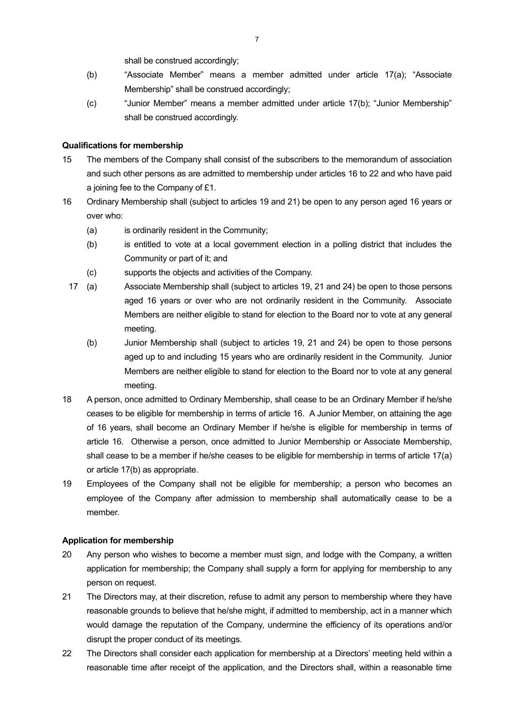shall be construed accordingly;

- (b) "Associate Member" means a member admitted under article 17(a); "Associate Membership" shall be construed accordingly;
- (c) "Junior Member" means a member admitted under article 17(b); "Junior Membership" shall be construed accordingly.

# **Qualifications for membership**

- 15 The members of the Company shall consist of the subscribers to the memorandum of association and such other persons as are admitted to membership under articles 16 to 22 and who have paid a joining fee to the Company of £1.
- 16 Ordinary Membership shall (subject to articles 19 and 21) be open to any person aged 16 years or over who:
	- (a) is ordinarily resident in the Community;
	- (b) is entitled to vote at a local government election in a polling district that includes the Community or part of it; and
	- (c) supports the objects and activities of the Company.
	- 17 (a) Associate Membership shall (subject to articles 19, 21 and 24) be open to those persons aged 16 years or over who are not ordinarily resident in the Community. Associate Members are neither eligible to stand for election to the Board nor to vote at any general meeting.
		- (b) Junior Membership shall (subject to articles 19, 21 and 24) be open to those persons aged up to and including 15 years who are ordinarily resident in the Community. Junior Members are neither eligible to stand for election to the Board nor to vote at any general meeting.
- 18 A person, once admitted to Ordinary Membership, shall cease to be an Ordinary Member if he/she ceases to be eligible for membership in terms of article 16. A Junior Member, on attaining the age of 16 years, shall become an Ordinary Member if he/she is eligible for membership in terms of article 16. Otherwise a person, once admitted to Junior Membership or Associate Membership, shall cease to be a member if he/she ceases to be eligible for membership in terms of article 17(a) or article 17(b) as appropriate.
- 19 Employees of the Company shall not be eligible for membership; a person who becomes an employee of the Company after admission to membership shall automatically cease to be a member.

# **Application for membership**

- 20 Any person who wishes to become a member must sign, and lodge with the Company, a written application for membership; the Company shall supply a form for applying for membership to any person on request.
- 21 The Directors may, at their discretion, refuse to admit any person to membership where they have reasonable grounds to believe that he/she might, if admitted to membership, act in a manner which would damage the reputation of the Company, undermine the efficiency of its operations and/or disrupt the proper conduct of its meetings.
- 22 The Directors shall consider each application for membership at a Directors' meeting held within a reasonable time after receipt of the application, and the Directors shall, within a reasonable time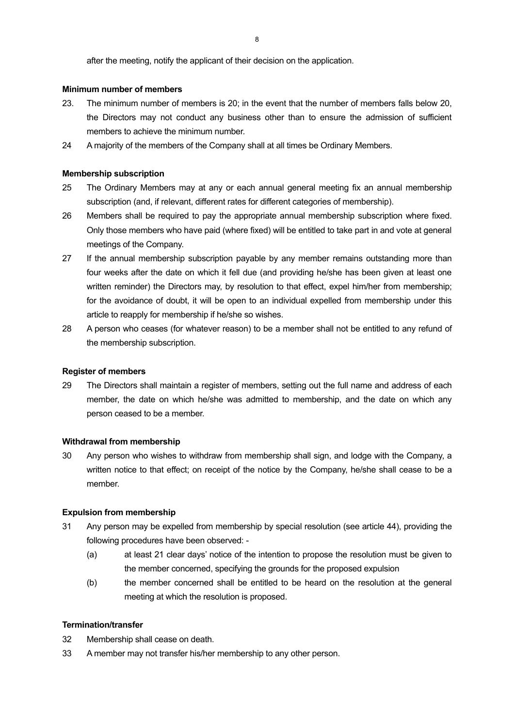# **Minimum number of members**

- 23. The minimum number of members is 20; in the event that the number of members falls below 20, the Directors may not conduct any business other than to ensure the admission of sufficient members to achieve the minimum number.
- 24 A majority of the members of the Company shall at all times be Ordinary Members.

## **Membership subscription**

- 25 The Ordinary Members may at any or each annual general meeting fix an annual membership subscription (and, if relevant, different rates for different categories of membership).
- 26 Members shall be required to pay the appropriate annual membership subscription where fixed. Only those members who have paid (where fixed) will be entitled to take part in and vote at general meetings of the Company.
- 27 If the annual membership subscription payable by any member remains outstanding more than four weeks after the date on which it fell due (and providing he/she has been given at least one written reminder) the Directors may, by resolution to that effect, expel him/her from membership; for the avoidance of doubt, it will be open to an individual expelled from membership under this article to reapply for membership if he/she so wishes.
- 28 A person who ceases (for whatever reason) to be a member shall not be entitled to any refund of the membership subscription.

### **Register of members**

29 The Directors shall maintain a register of members, setting out the full name and address of each member, the date on which he/she was admitted to membership, and the date on which any person ceased to be a member.

### **Withdrawal from membership**

30 Any person who wishes to withdraw from membership shall sign, and lodge with the Company, a written notice to that effect; on receipt of the notice by the Company, he/she shall cease to be a member.

# **Expulsion from membership**

- 31 Any person may be expelled from membership by special resolution (see article 44), providing the following procedures have been observed: -
	- (a) at least 21 clear days' notice of the intention to propose the resolution must be given to the member concerned, specifying the grounds for the proposed expulsion
	- (b) the member concerned shall be entitled to be heard on the resolution at the general meeting at which the resolution is proposed.

### **Termination/transfer**

- 32 Membership shall cease on death.
- 33 A member may not transfer his/her membership to any other person.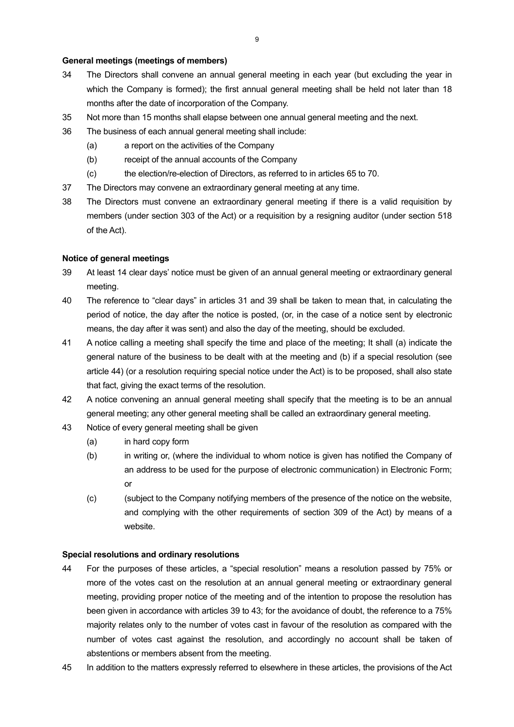# **General meetings (meetings of members)**

- 34 The Directors shall convene an annual general meeting in each year (but excluding the year in which the Company is formed); the first annual general meeting shall be held not later than 18 months after the date of incorporation of the Company.
- 35 Not more than 15 months shall elapse between one annual general meeting and the next.
- 36 The business of each annual general meeting shall include:
	- (a) a report on the activities of the Company
	- (b) receipt of the annual accounts of the Company
	- (c) the election/re-election of Directors, as referred to in articles 65 to 70.
- 37 The Directors may convene an extraordinary general meeting at any time.
- 38 The Directors must convene an extraordinary general meeting if there is a valid requisition by members (under section 303 of the Act) or a requisition by a resigning auditor (under section 518 of the Act).

### **Notice of general meetings**

- 39 At least 14 clear days' notice must be given of an annual general meeting or extraordinary general meeting.
- 40 The reference to "clear days" in articles 31 and 39 shall be taken to mean that, in calculating the period of notice, the day after the notice is posted, (or, in the case of a notice sent by electronic means, the day after it was sent) and also the day of the meeting, should be excluded.
- 41 A notice calling a meeting shall specify the time and place of the meeting; It shall (a) indicate the general nature of the business to be dealt with at the meeting and (b) if a special resolution (see article 44) (or a resolution requiring special notice under the Act) is to be proposed, shall also state that fact, giving the exact terms of the resolution.
- 42 A notice convening an annual general meeting shall specify that the meeting is to be an annual general meeting; any other general meeting shall be called an extraordinary general meeting.
- 43 Notice of every general meeting shall be given
	- (a) in hard copy form
	- (b) in writing or, (where the individual to whom notice is given has notified the Company of an address to be used for the purpose of electronic communication) in Electronic Form; or
	- (c) (subject to the Company notifying members of the presence of the notice on the website, and complying with the other requirements of section 309 of the Act) by means of a website.

## **Special resolutions and ordinary resolutions**

- 44 For the purposes of these articles, a "special resolution" means a resolution passed by 75% or more of the votes cast on the resolution at an annual general meeting or extraordinary general meeting, providing proper notice of the meeting and of the intention to propose the resolution has been given in accordance with articles 39 to 43; for the avoidance of doubt, the reference to a 75% majority relates only to the number of votes cast in favour of the resolution as compared with the number of votes cast against the resolution, and accordingly no account shall be taken of abstentions or members absent from the meeting.
- 45 In addition to the matters expressly referred to elsewhere in these articles, the provisions of the Act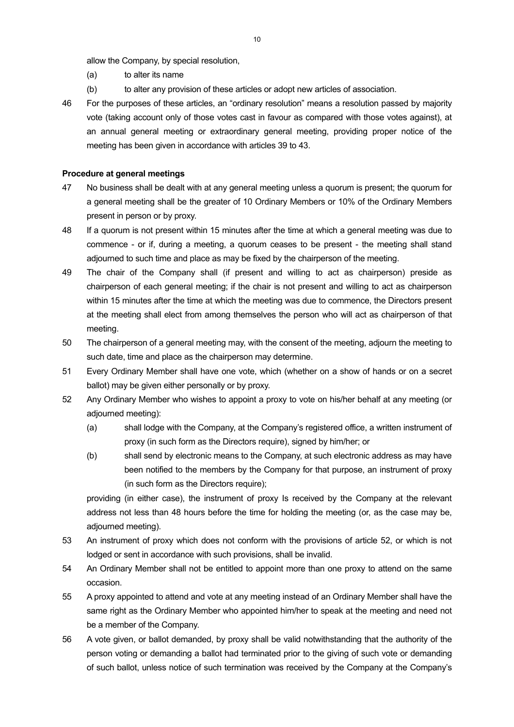allow the Company, by special resolution,

- (a) to alter its name
- (b) to alter any provision of these articles or adopt new articles of association.
- 46 For the purposes of these articles, an "ordinary resolution" means a resolution passed by majority vote (taking account only of those votes cast in favour as compared with those votes against), at an annual general meeting or extraordinary general meeting, providing proper notice of the meeting has been given in accordance with articles 39 to 43.

## **Procedure at general meetings**

- 47 No business shall be dealt with at any general meeting unless a quorum is present; the quorum for a general meeting shall be the greater of 10 Ordinary Members or 10% of the Ordinary Members present in person or by proxy.
- 48 If a quorum is not present within 15 minutes after the time at which a general meeting was due to commence - or if, during a meeting, a quorum ceases to be present - the meeting shall stand adjourned to such time and place as may be fixed by the chairperson of the meeting.
- 49 The chair of the Company shall (if present and willing to act as chairperson) preside as chairperson of each general meeting; if the chair is not present and willing to act as chairperson within 15 minutes after the time at which the meeting was due to commence, the Directors present at the meeting shall elect from among themselves the person who will act as chairperson of that meeting.
- 50 The chairperson of a general meeting may, with the consent of the meeting, adjourn the meeting to such date, time and place as the chairperson may determine.
- 51 Every Ordinary Member shall have one vote, which (whether on a show of hands or on a secret ballot) may be given either personally or by proxy.
- 52 Any Ordinary Member who wishes to appoint a proxy to vote on his/her behalf at any meeting (or adjourned meeting):
	- (a) shall lodge with the Company, at the Company's registered office, a written instrument of proxy (in such form as the Directors require), signed by him/her; or
	- (b) shall send by electronic means to the Company, at such electronic address as may have been notified to the members by the Company for that purpose, an instrument of proxy (in such form as the Directors require);

 providing (in either case), the instrument of proxy Is received by the Company at the relevant address not less than 48 hours before the time for holding the meeting (or, as the case may be, adjourned meeting).

- 53 An instrument of proxy which does not conform with the provisions of article 52, or which is not lodged or sent in accordance with such provisions, shall be invalid.
- 54 An Ordinary Member shall not be entitled to appoint more than one proxy to attend on the same occasion.
- 55 A proxy appointed to attend and vote at any meeting instead of an Ordinary Member shall have the same right as the Ordinary Member who appointed him/her to speak at the meeting and need not be a member of the Company.
- 56 A vote given, or ballot demanded, by proxy shall be valid notwithstanding that the authority of the person voting or demanding a ballot had terminated prior to the giving of such vote or demanding of such ballot, unless notice of such termination was received by the Company at the Company's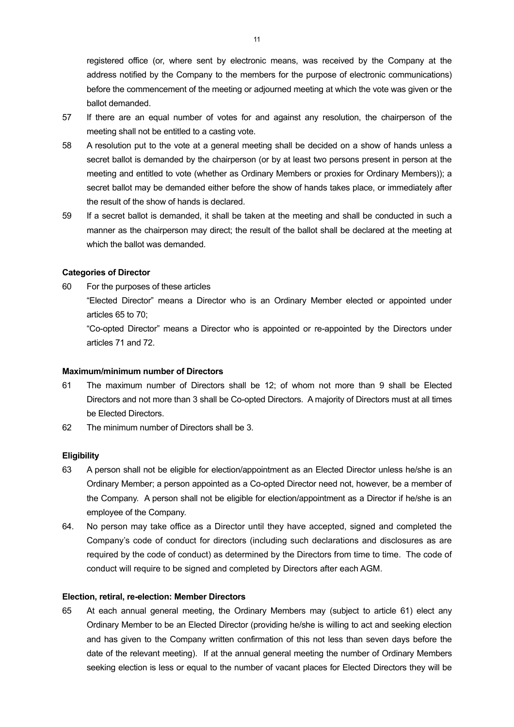registered office (or, where sent by electronic means, was received by the Company at the address notified by the Company to the members for the purpose of electronic communications) before the commencement of the meeting or adjourned meeting at which the vote was given or the ballot demanded.

- 57 If there are an equal number of votes for and against any resolution, the chairperson of the meeting shall not be entitled to a casting vote.
- 58 A resolution put to the vote at a general meeting shall be decided on a show of hands unless a secret ballot is demanded by the chairperson (or by at least two persons present in person at the meeting and entitled to vote (whether as Ordinary Members or proxies for Ordinary Members)); a secret ballot may be demanded either before the show of hands takes place, or immediately after the result of the show of hands is declared.
- 59 If a secret ballot is demanded, it shall be taken at the meeting and shall be conducted in such a manner as the chairperson may direct; the result of the ballot shall be declared at the meeting at which the ballot was demanded.

# **Categories of Director**

60 For the purposes of these articles

 "Elected Director" means a Director who is an Ordinary Member elected or appointed under articles 65 to 70;

 "Co-opted Director" means a Director who is appointed or re-appointed by the Directors under articles 71 and 72.

### **Maximum/minimum number of Directors**

- 61 The maximum number of Directors shall be 12; of whom not more than 9 shall be Elected Directors and not more than 3 shall be Co-opted Directors. A majority of Directors must at all times be Elected Directors.
- 62 The minimum number of Directors shall be 3.

### **Eligibility**

- 63 A person shall not be eligible for election/appointment as an Elected Director unless he/she is an Ordinary Member; a person appointed as a Co-opted Director need not, however, be a member of the Company. A person shall not be eligible for election/appointment as a Director if he/she is an employee of the Company.
- 64. No person may take office as a Director until they have accepted, signed and completed the Company's code of conduct for directors (including such declarations and disclosures as are required by the code of conduct) as determined by the Directors from time to time. The code of conduct will require to be signed and completed by Directors after each AGM.

### **Election, retiral, re-election: Member Directors**

65 At each annual general meeting, the Ordinary Members may (subject to article 61) elect any Ordinary Member to be an Elected Director (providing he/she is willing to act and seeking election and has given to the Company written confirmation of this not less than seven days before the date of the relevant meeting). If at the annual general meeting the number of Ordinary Members seeking election is less or equal to the number of vacant places for Elected Directors they will be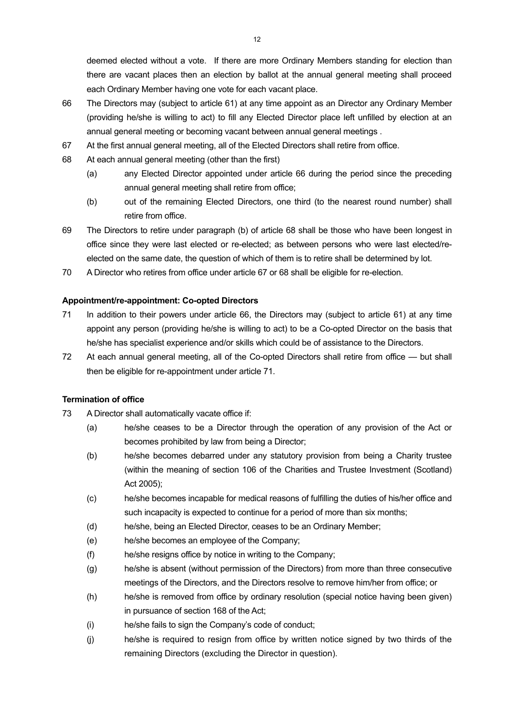deemed elected without a vote. If there are more Ordinary Members standing for election than there are vacant places then an election by ballot at the annual general meeting shall proceed each Ordinary Member having one vote for each vacant place.

- 66 The Directors may (subject to article 61) at any time appoint as an Director any Ordinary Member (providing he/she is willing to act) to fill any Elected Director place left unfilled by election at an annual general meeting or becoming vacant between annual general meetings .
- 67 At the first annual general meeting, all of the Elected Directors shall retire from office.
- 68 At each annual general meeting (other than the first)
	- (a) any Elected Director appointed under article 66 during the period since the preceding annual general meeting shall retire from office;
	- (b) out of the remaining Elected Directors, one third (to the nearest round number) shall retire from office.
- 69 The Directors to retire under paragraph (b) of article 68 shall be those who have been longest in office since they were last elected or re-elected; as between persons who were last elected/reelected on the same date, the question of which of them is to retire shall be determined by lot.
- 70 A Director who retires from office under article 67 or 68 shall be eligible for re-election.

# **Appointment/re-appointment: Co-opted Directors**

- 71 In addition to their powers under article 66, the Directors may (subject to article 61) at any time appoint any person (providing he/she is willing to act) to be a Co-opted Director on the basis that he/she has specialist experience and/or skills which could be of assistance to the Directors.
- 72 At each annual general meeting, all of the Co-opted Directors shall retire from office but shall then be eligible for re-appointment under article 71.

### **Termination of office**

- 73 A Director shall automatically vacate office if:
	- (a) he/she ceases to be a Director through the operation of any provision of the Act or becomes prohibited by law from being a Director;
	- (b) he/she becomes debarred under any statutory provision from being a Charity trustee (within the meaning of section 106 of the Charities and Trustee Investment (Scotland) Act 2005);
	- (c) he/she becomes incapable for medical reasons of fulfilling the duties of his/her office and such incapacity is expected to continue for a period of more than six months;
	- (d) he/she, being an Elected Director, ceases to be an Ordinary Member;
	- (e) he/she becomes an employee of the Company;
	- (f) he/she resigns office by notice in writing to the Company;
	- (g) he/she is absent (without permission of the Directors) from more than three consecutive meetings of the Directors, and the Directors resolve to remove him/her from office; or
	- (h) he/she is removed from office by ordinary resolution (special notice having been given) in pursuance of section 168 of the Act;
	- (i) he/she fails to sign the Company's code of conduct;
	- (j) he/she is required to resign from office by written notice signed by two thirds of the remaining Directors (excluding the Director in question).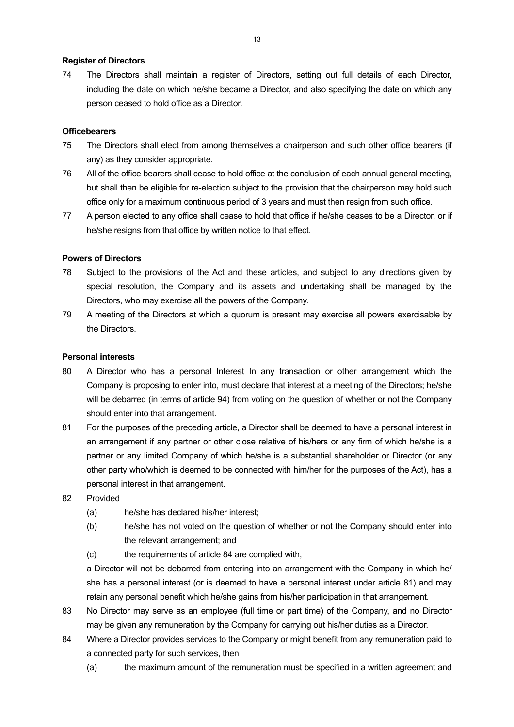## **Register of Directors**

74 The Directors shall maintain a register of Directors, setting out full details of each Director, including the date on which he/she became a Director, and also specifying the date on which any person ceased to hold office as a Director.

# **Officebearers**

- 75 The Directors shall elect from among themselves a chairperson and such other office bearers (if any) as they consider appropriate.
- 76 All of the office bearers shall cease to hold office at the conclusion of each annual general meeting, but shall then be eligible for re-election subject to the provision that the chairperson may hold such office only for a maximum continuous period of 3 years and must then resign from such office.
- 77 A person elected to any office shall cease to hold that office if he/she ceases to be a Director, or if he/she resigns from that office by written notice to that effect.

### **Powers of Directors**

- 78 Subject to the provisions of the Act and these articles, and subject to any directions given by special resolution, the Company and its assets and undertaking shall be managed by the Directors, who may exercise all the powers of the Company.
- 79 A meeting of the Directors at which a quorum is present may exercise all powers exercisable by the Directors.

# **Personal interests**

- 80 A Director who has a personal Interest In any transaction or other arrangement which the Company is proposing to enter into, must declare that interest at a meeting of the Directors; he/she will be debarred (in terms of article 94) from voting on the question of whether or not the Company should enter into that arrangement.
- 81 For the purposes of the preceding article, a Director shall be deemed to have a personal interest in an arrangement if any partner or other close relative of his/hers or any firm of which he/she is a partner or any limited Company of which he/she is a substantial shareholder or Director (or any other party who/which is deemed to be connected with him/her for the purposes of the Act), has a personal interest in that arrangement.
- 82 Provided
	- (a) he/she has declared his/her interest;
	- (b) he/she has not voted on the question of whether or not the Company should enter into the relevant arrangement; and
	- (c) the requirements of article 84 are complied with,

 a Director will not be debarred from entering into an arrangement with the Company in which he/ she has a personal interest (or is deemed to have a personal interest under article 81) and may retain any personal benefit which he/she gains from his/her participation in that arrangement.

- 83 No Director may serve as an employee (full time or part time) of the Company, and no Director may be given any remuneration by the Company for carrying out his/her duties as a Director.
- 84 Where a Director provides services to the Company or might benefit from any remuneration paid to a connected party for such services, then
	- (a) the maximum amount of the remuneration must be specified in a written agreement and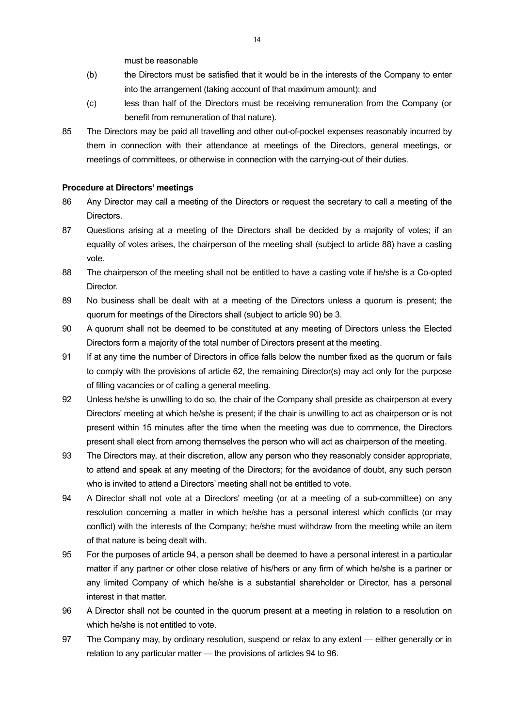must be reasonable

- (b) the Directors must be satisfied that it would be in the interests of the Company to enter into the arrangement (taking account of that maximum amount); and
- (c) less than half of the Directors must be receiving remuneration from the Company (or benefit from remuneration of that nature).
- 85 The Directors may be paid all travelling and other out-of-pocket expenses reasonably incurred by them in connection with their attendance at meetings of the Directors, general meetings, or meetings of committees, or otherwise in connection with the carrying-out of their duties.

# **Procedure at Directors' meetings**

- 86 Any Director may call a meeting of the Directors or request the secretary to call a meeting of the Directors.
- 87 Questions arising at a meeting of the Directors shall be decided by a majority of votes; if an equality of votes arises, the chairperson of the meeting shall (subject to article 88) have a casting vote.
- 88 The chairperson of the meeting shall not be entitled to have a casting vote if he/she is a Co-opted Director.
- 89 No business shall be dealt with at a meeting of the Directors unless a quorum is present; the quorum for meetings of the Directors shall (subject to article 90) be 3.
- 90 A quorum shall not be deemed to be constituted at any meeting of Directors unless the Elected Directors form a majority of the total number of Directors present at the meeting.
- 91 If at any time the number of Directors in office falls below the number fixed as the quorum or fails to comply with the provisions of article 62, the remaining Director(s) may act only for the purpose of filling vacancies or of calling a general meeting.
- 92 Unless he/she is unwilling to do so, the chair of the Company shall preside as chairperson at every Directors' meeting at which he/she is present; if the chair is unwilling to act as chairperson or is not present within 15 minutes after the time when the meeting was due to commence, the Directors present shall elect from among themselves the person who will act as chairperson of the meeting.
- 93 The Directors may, at their discretion, allow any person who they reasonably consider appropriate, to attend and speak at any meeting of the Directors; for the avoidance of doubt, any such person who is invited to attend a Directors' meeting shall not be entitled to vote.
- 94 A Director shall not vote at a Directors' meeting (or at a meeting of a sub-committee) on any resolution concerning a matter in which he/she has a personal interest which conflicts (or may conflict) with the interests of the Company; he/she must withdraw from the meeting while an item of that nature is being dealt with.
- 95 For the purposes of article 94, a person shall be deemed to have a personal interest in a particular matter if any partner or other close relative of his/hers or any firm of which he/she is a partner or any limited Company of which he/she is a substantial shareholder or Director, has a personal interest in that matter.
- 96 A Director shall not be counted in the quorum present at a meeting in relation to a resolution on which he/she is not entitled to vote.
- 97 The Company may, by ordinary resolution, suspend or relax to any extent either generally or in relation to any particular matter — the provisions of articles 94 to 96.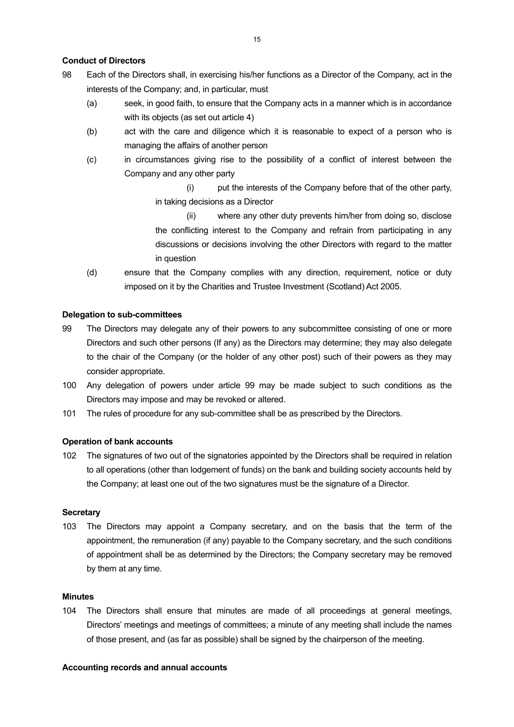# **Conduct of Directors**

- 98 Each of the Directors shall, in exercising his/her functions as a Director of the Company, act in the interests of the Company; and, in particular, must
	- (a) seek, in good faith, to ensure that the Company acts in a manner which is in accordance with its objects (as set out article 4)
	- (b) act with the care and diligence which it is reasonable to expect of a person who is managing the affairs of another person
	- (c) in circumstances giving rise to the possibility of a conflict of interest between the Company and any other party
		- (i) put the interests of the Company before that of the other party, in taking decisions as a Director
		- (ii) where any other duty prevents him/her from doing so, disclose the conflicting interest to the Company and refrain from participating in any discussions or decisions involving the other Directors with regard to the matter in question
	- (d) ensure that the Company complies with any direction, requirement, notice or duty imposed on it by the Charities and Trustee Investment (Scotland) Act 2005.

# **Delegation to sub-committees**

- 99 The Directors may delegate any of their powers to any subcommittee consisting of one or more Directors and such other persons (If any) as the Directors may determine; they may also delegate to the chair of the Company (or the holder of any other post) such of their powers as they may consider appropriate.
- 100 Any delegation of powers under article 99 may be made subject to such conditions as the Directors may impose and may be revoked or altered.
- 101 The rules of procedure for any sub-committee shall be as prescribed by the Directors.

### **Operation of bank accounts**

102 The signatures of two out of the signatories appointed by the Directors shall be required in relation to all operations (other than lodgement of funds) on the bank and building society accounts held by the Company; at least one out of the two signatures must be the signature of a Director.

## **Secretary**

103 The Directors may appoint a Company secretary, and on the basis that the term of the appointment, the remuneration (if any) payable to the Company secretary, and the such conditions of appointment shall be as determined by the Directors; the Company secretary may be removed by them at any time.

### **Minutes**

104 The Directors shall ensure that minutes are made of all proceedings at general meetings, Directors' meetings and meetings of committees; a minute of any meeting shall include the names of those present, and (as far as possible) shall be signed by the chairperson of the meeting.

#### **Accounting records and annual accounts**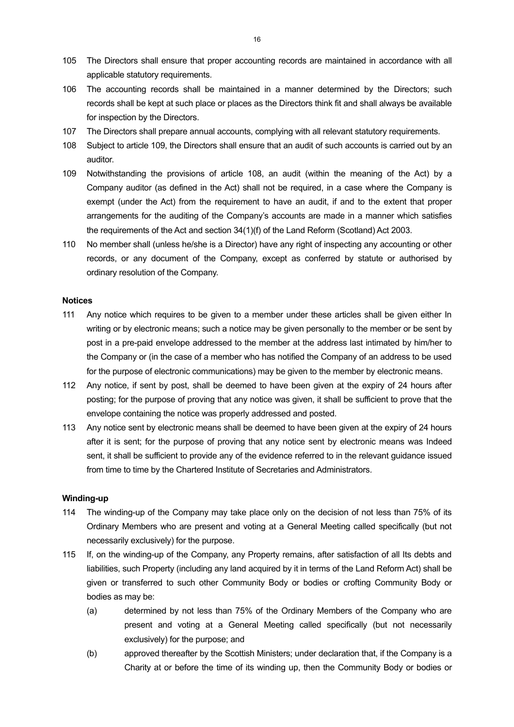- 105 The Directors shall ensure that proper accounting records are maintained in accordance with all applicable statutory requirements.
- 106 The accounting records shall be maintained in a manner determined by the Directors; such records shall be kept at such place or places as the Directors think fit and shall always be available for inspection by the Directors.
- 107 The Directors shall prepare annual accounts, complying with all relevant statutory requirements.
- 108 Subject to article 109, the Directors shall ensure that an audit of such accounts is carried out by an auditor.
- 109 Notwithstanding the provisions of article 108, an audit (within the meaning of the Act) by a Company auditor (as defined in the Act) shall not be required, in a case where the Company is exempt (under the Act) from the requirement to have an audit, if and to the extent that proper arrangements for the auditing of the Company's accounts are made in a manner which satisfies the requirements of the Act and section 34(1)(f) of the Land Reform (Scotland) Act 2003.
- 110 No member shall (unless he/she is a Director) have any right of inspecting any accounting or other records, or any document of the Company, except as conferred by statute or authorised by ordinary resolution of the Company.

### **Notices**

- 111 Any notice which requires to be given to a member under these articles shall be given either In writing or by electronic means; such a notice may be given personally to the member or be sent by post in a pre-paid envelope addressed to the member at the address last intimated by him/her to the Company or (in the case of a member who has notified the Company of an address to be used for the purpose of electronic communications) may be given to the member by electronic means.
- 112 Any notice, if sent by post, shall be deemed to have been given at the expiry of 24 hours after posting; for the purpose of proving that any notice was given, it shall be sufficient to prove that the envelope containing the notice was properly addressed and posted.
- 113 Any notice sent by electronic means shall be deemed to have been given at the expiry of 24 hours after it is sent; for the purpose of proving that any notice sent by electronic means was Indeed sent, it shall be sufficient to provide any of the evidence referred to in the relevant guidance issued from time to time by the Chartered Institute of Secretaries and Administrators.

#### **Winding-up**

- 114 The winding-up of the Company may take place only on the decision of not less than 75% of its Ordinary Members who are present and voting at a General Meeting called specifically (but not necessarily exclusively) for the purpose.
- 115 If, on the winding-up of the Company, any Property remains, after satisfaction of all Its debts and liabilities, such Property (including any land acquired by it in terms of the Land Reform Act) shall be given or transferred to such other Community Body or bodies or crofting Community Body or bodies as may be:
	- (a) determined by not less than 75% of the Ordinary Members of the Company who are present and voting at a General Meeting called specifically (but not necessarily exclusively) for the purpose; and
	- (b) approved thereafter by the Scottish Ministers; under declaration that, if the Company is a Charity at or before the time of its winding up, then the Community Body or bodies or